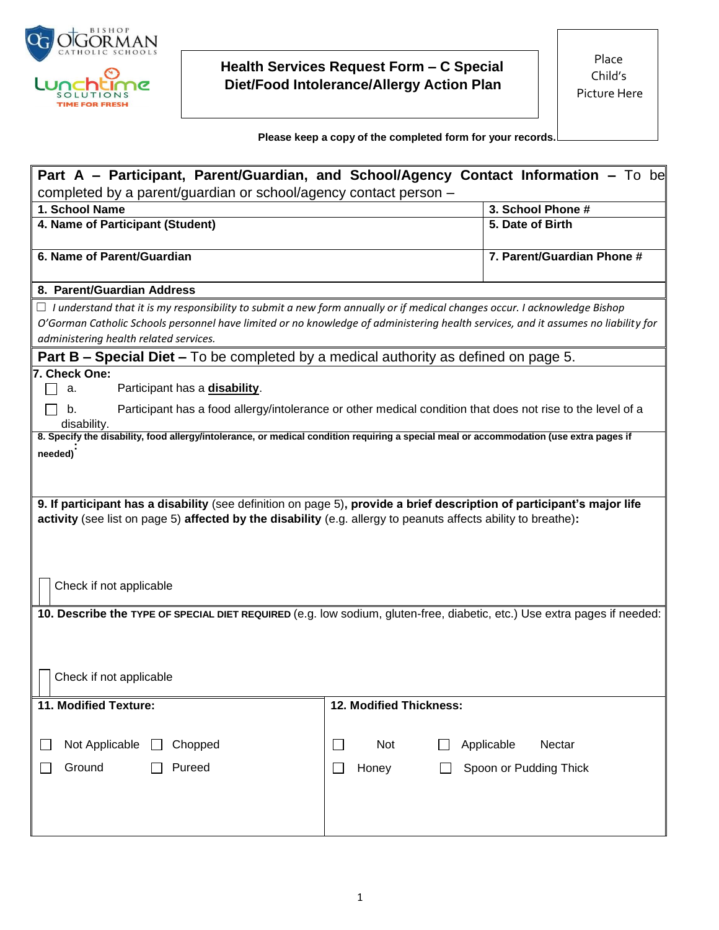

#### **Please keep a copy of the completed form for your records.**

| Part A - Participant, Parent/Guardian, and School/Agency Contact Information - To be                                                    |                                            |                            |  |  |
|-----------------------------------------------------------------------------------------------------------------------------------------|--------------------------------------------|----------------------------|--|--|
| completed by a parent/guardian or school/agency contact person -                                                                        |                                            |                            |  |  |
| 1. School Name                                                                                                                          |                                            | 3. School Phone #          |  |  |
| 4. Name of Participant (Student)                                                                                                        | 5. Date of Birth                           |                            |  |  |
|                                                                                                                                         |                                            |                            |  |  |
| 6. Name of Parent/Guardian                                                                                                              |                                            | 7. Parent/Guardian Phone # |  |  |
| 8. Parent/Guardian Address                                                                                                              |                                            |                            |  |  |
| $\Box$ I understand that it is my responsibility to submit a new form annually or if medical changes occur. I acknowledge Bishop        |                                            |                            |  |  |
| O'Gorman Catholic Schools personnel have limited or no knowledge of administering health services, and it assumes no liability for      |                                            |                            |  |  |
| administering health related services.                                                                                                  |                                            |                            |  |  |
| <b>Part B – Special Diet –</b> To be completed by a medical authority as defined on page 5.                                             |                                            |                            |  |  |
| 7. Check One:                                                                                                                           |                                            |                            |  |  |
| Participant has a disability.<br>a.                                                                                                     |                                            |                            |  |  |
| Participant has a food allergy/intolerance or other medical condition that does not rise to the level of a<br>b.                        |                                            |                            |  |  |
| disability.                                                                                                                             |                                            |                            |  |  |
| 8. Specify the disability, food allergy/intolerance, or medical condition requiring a special meal or accommodation (use extra pages if |                                            |                            |  |  |
| needed)                                                                                                                                 |                                            |                            |  |  |
|                                                                                                                                         |                                            |                            |  |  |
|                                                                                                                                         |                                            |                            |  |  |
| 9. If participant has a disability (see definition on page 5), provide a brief description of participant's major life                  |                                            |                            |  |  |
| activity (see list on page 5) affected by the disability (e.g. allergy to peanuts affects ability to breathe):                          |                                            |                            |  |  |
|                                                                                                                                         |                                            |                            |  |  |
|                                                                                                                                         |                                            |                            |  |  |
|                                                                                                                                         |                                            |                            |  |  |
| Check if not applicable                                                                                                                 |                                            |                            |  |  |
|                                                                                                                                         |                                            |                            |  |  |
| 10. Describe the TYPE OF SPECIAL DIET REQUIRED (e.g. low sodium, gluten-free, diabetic, etc.) Use extra pages if needed:                |                                            |                            |  |  |
|                                                                                                                                         |                                            |                            |  |  |
|                                                                                                                                         |                                            |                            |  |  |
|                                                                                                                                         |                                            |                            |  |  |
| Check if not applicable                                                                                                                 |                                            |                            |  |  |
|                                                                                                                                         |                                            |                            |  |  |
| 11. Modified Texture:                                                                                                                   | 12. Modified Thickness:                    |                            |  |  |
|                                                                                                                                         |                                            |                            |  |  |
| Not Applicable<br>Chopped                                                                                                               | <b>Not</b><br>Applicable<br>$\blacksquare$ | Nectar                     |  |  |
|                                                                                                                                         |                                            |                            |  |  |
| Ground<br>Pureed                                                                                                                        | Honey<br>Spoon or Pudding Thick<br>$\Box$  |                            |  |  |
|                                                                                                                                         |                                            |                            |  |  |
|                                                                                                                                         |                                            |                            |  |  |
|                                                                                                                                         |                                            |                            |  |  |
|                                                                                                                                         |                                            |                            |  |  |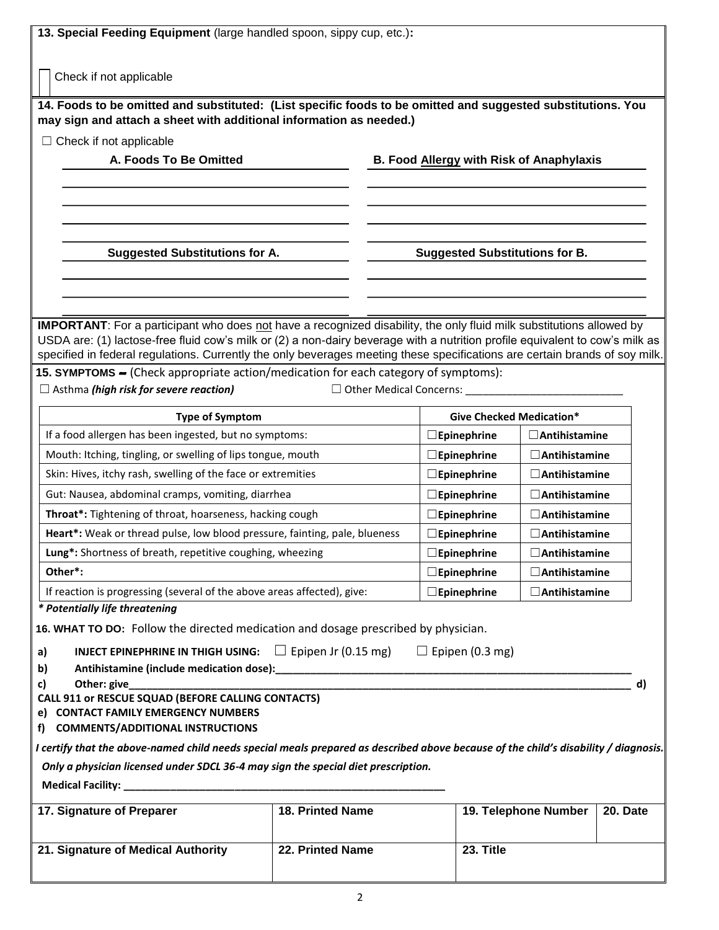| 13. Special Feeding Equipment (large handled spoon, sippy cup, etc.):                                                               |                  |                                          |                         |          |  |
|-------------------------------------------------------------------------------------------------------------------------------------|------------------|------------------------------------------|-------------------------|----------|--|
|                                                                                                                                     |                  |                                          |                         |          |  |
| Check if not applicable                                                                                                             |                  |                                          |                         |          |  |
| 14. Foods to be omitted and substituted: (List specific foods to be omitted and suggested substitutions. You                        |                  |                                          |                         |          |  |
| may sign and attach a sheet with additional information as needed.)                                                                 |                  |                                          |                         |          |  |
| $\Box$ Check if not applicable                                                                                                      |                  |                                          |                         |          |  |
| A. Foods To Be Omitted                                                                                                              |                  | B. Food Allergy with Risk of Anaphylaxis |                         |          |  |
|                                                                                                                                     |                  |                                          |                         |          |  |
|                                                                                                                                     |                  |                                          |                         |          |  |
|                                                                                                                                     |                  |                                          |                         |          |  |
|                                                                                                                                     |                  |                                          |                         |          |  |
| <b>Suggested Substitutions for A.</b>                                                                                               |                  | <b>Suggested Substitutions for B.</b>    |                         |          |  |
|                                                                                                                                     |                  |                                          |                         |          |  |
|                                                                                                                                     |                  |                                          |                         |          |  |
| IMPORTANT: For a participant who does not have a recognized disability, the only fluid milk substitutions allowed by                |                  |                                          |                         |          |  |
| USDA are: (1) lactose-free fluid cow's milk or (2) a non-dairy beverage with a nutrition profile equivalent to cow's milk as        |                  |                                          |                         |          |  |
| specified in federal regulations. Currently the only beverages meeting these specifications are certain brands of soy milk.         |                  |                                          |                         |          |  |
| 15. SYMPTOMS - (Check appropriate action/medication for each category of symptoms):                                                 |                  |                                          |                         |          |  |
| $\Box$ Asthma (high risk for severe reaction)                                                                                       |                  | Other Medical Concerns: ______________   |                         |          |  |
| <b>Type of Symptom</b>                                                                                                              |                  | <b>Give Checked Medication*</b>          |                         |          |  |
| If a food allergen has been ingested, but no symptoms:                                                                              |                  | $\Box$ Epinephrine                       | $\Box$ Antihistamine    |          |  |
| Mouth: Itching, tingling, or swelling of lips tongue, mouth                                                                         |                  | $\Box$ Epinephrine                       | $\Box$ Antihistamine    |          |  |
| Skin: Hives, itchy rash, swelling of the face or extremities                                                                        |                  | $\Box$ Epinephrine                       | $\Box$ Antihistamine    |          |  |
| Gut: Nausea, abdominal cramps, vomiting, diarrhea                                                                                   |                  | $\Box$ Epinephrine                       | $\Box$ Antihistamine    |          |  |
| Throat*: Tightening of throat, hoarseness, hacking cough                                                                            |                  | $\Box$ Epinephrine                       | $\Box$ Antihistamine    |          |  |
| Heart*: Weak or thread pulse, low blood pressure, fainting, pale, blueness<br>$\Box$ Epinephrine<br>$\Box$ Antihistamine            |                  |                                          |                         |          |  |
| Lung*: Shortness of breath, repetitive coughing, wheezing                                                                           |                  | $\Box$ Epinephrine                       | $\Box$<br>Antihistamine |          |  |
| Other*:                                                                                                                             |                  | $\Box$ Epinephrine                       | $\Box$ Antihistamine    |          |  |
| If reaction is progressing (several of the above areas affected), give:                                                             |                  | $\Box$ Epinephrine                       | $\Box$ Antihistamine    |          |  |
| * Potentially life threatening                                                                                                      |                  |                                          |                         |          |  |
| 16. WHAT TO DO: Follow the directed medication and dosage prescribed by physician.                                                  |                  |                                          |                         |          |  |
| $\Box$ Epipen (0.3 mg)<br>INJECT EPINEPHRINE IN THIGH USING: $\Box$ Epipen Jr (0.15 mg)<br>a)                                       |                  |                                          |                         |          |  |
| b)<br>Other: give<br>c)<br>d)                                                                                                       |                  |                                          |                         |          |  |
| CALL 911 or RESCUE SQUAD (BEFORE CALLING CONTACTS)                                                                                  |                  |                                          |                         |          |  |
| e) CONTACT FAMILY EMERGENCY NUMBERS                                                                                                 |                  |                                          |                         |          |  |
| <b>COMMENTS/ADDITIONAL INSTRUCTIONS</b><br>f)                                                                                       |                  |                                          |                         |          |  |
| I certify that the above-named child needs special meals prepared as described above because of the child's disability / diagnosis. |                  |                                          |                         |          |  |
| Only a physician licensed under SDCL 36-4 may sign the special diet prescription.                                                   |                  |                                          |                         |          |  |
| Medical Facility: New York Changes and Medical Facility:                                                                            |                  |                                          |                         |          |  |
| 17. Signature of Preparer                                                                                                           | 18. Printed Name |                                          | 19. Telephone Number    | 20. Date |  |
|                                                                                                                                     |                  |                                          |                         |          |  |
| 21. Signature of Medical Authority                                                                                                  | 22. Printed Name | 23. Title                                |                         |          |  |
|                                                                                                                                     |                  |                                          |                         |          |  |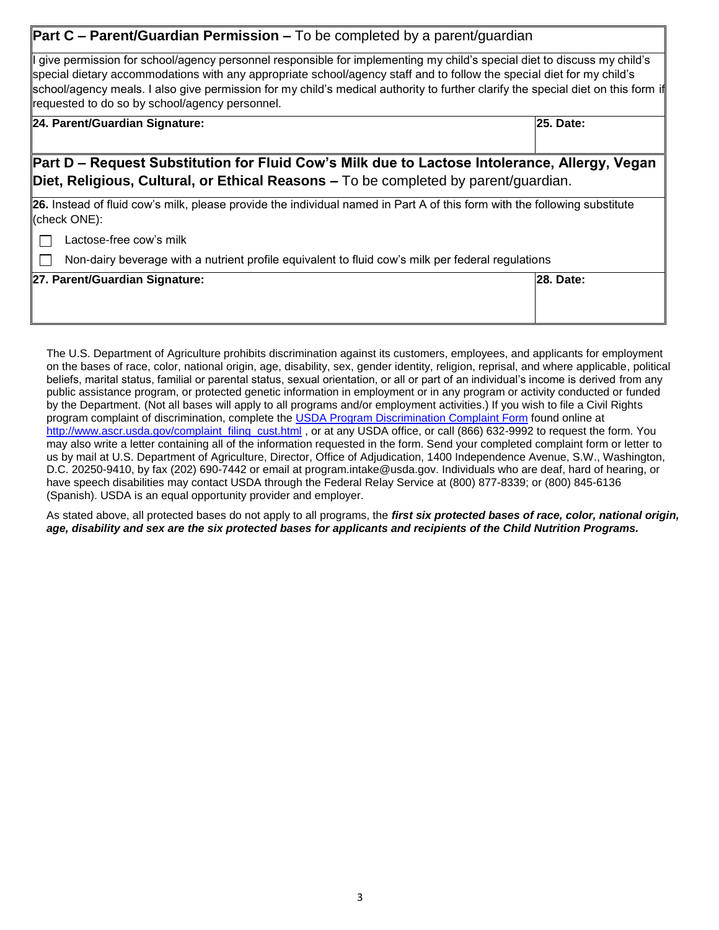| <b>Part C – Parent/Guardian Permission –</b> To be completed by a parent/guardian                                                                                                                                                                                                                                                                                                                                                          |           |
|--------------------------------------------------------------------------------------------------------------------------------------------------------------------------------------------------------------------------------------------------------------------------------------------------------------------------------------------------------------------------------------------------------------------------------------------|-----------|
| $\ $ give permission for school/agency personnel responsible for implementing my child's special diet to discuss my child's<br>special dietary accommodations with any appropriate school/agency staff and to follow the special diet for my child's<br>school/agency meals. I also give permission for my child's medical authority to further clarify the special diet on this form if<br>requested to do so by school/agency personnel. |           |
| 24. Parent/Guardian Signature:                                                                                                                                                                                                                                                                                                                                                                                                             | 25. Date: |
| Part D – Request Substitution for Fluid Cow's Milk due to Lactose Intolerance, Allergy, Vegan<br>Diet, Religious, Cultural, or Ethical Reasons – To be completed by parent/guardian.<br>26. Instead of fluid cow's milk, please provide the individual named in Part A of this form with the following substitute<br>(check ONE):                                                                                                          |           |
| Lactose-free cow's milk<br>Non-dairy beverage with a nutrient profile equivalent to fluid cow's milk per federal regulations                                                                                                                                                                                                                                                                                                               |           |
| 27. Parent/Guardian Signature:                                                                                                                                                                                                                                                                                                                                                                                                             | 28. Date: |
|                                                                                                                                                                                                                                                                                                                                                                                                                                            |           |

The U.S. Department of Agriculture prohibits discrimination against its customers, employees, and applicants for employment on the bases of race, color, national origin, age, disability, sex, gender identity, religion, reprisal, and where applicable, political beliefs, marital status, familial or parental status, sexual orientation, or all or part of an individual's income is derived from any public assistance program, or protected genetic information in employment or in any program or activity conducted or funded by the Department. (Not all bases will apply to all programs and/or employment activities.) If you wish to file a Civil Rights program complaint of discrimination, complete the [USDA Program Discrimination Complaint Form](http://www.ocio.usda.gov/sites/default/files/docs/2012/Complain_combined_6_8_12.pdf) [f](http://www.ocio.usda.gov/sites/default/files/docs/2012/Complain_combined_6_8_12.pdf)ound online at [http://www.ascr.usda.gov/complaint\\_filing\\_cust.html](http://www.ascr.usda.gov/complaint_filing_cust.html) [,](http://www.ascr.usda.gov/complaint_filing_cust.html) or at any USDA office, or call (866) 632-9992 to request the form. You may also write a letter containing all of the information requested in the form. Send your completed complaint form or letter to us by mail at U.S. Department of Agriculture, Director, Office of Adjudication, 1400 Independence Avenue, S.W., Washington, D.C. 20250-9410, by fax (202) 690-7442 or email at program.intake@usda.gov. Individuals who are deaf, hard of hearing, or have speech disabilities may contact USDA through the Federal Relay Service at (800) 877-8339; or (800) 845-6136 (Spanish). USDA is an equal opportunity provider and employer.

As stated above, all protected bases do not apply to all programs, the *first six protected bases of race, color, national origin, age, disability and sex are the six protected bases for applicants and recipients of the Child Nutrition Programs.*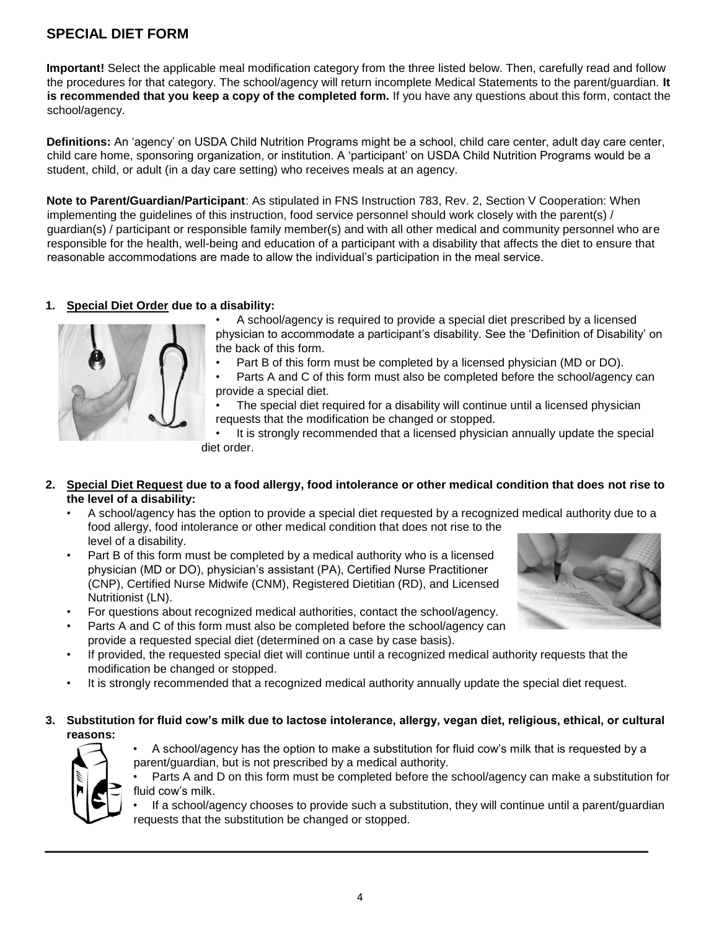# **SPECIAL DIET FORM**

**Important!** Select the applicable meal modification category from the three listed below. Then, carefully read and follow the procedures for that category. The school/agency will return incomplete Medical Statements to the parent/guardian. **It is recommended that you keep a copy of the completed form.** If you have any questions about this form, contact the school/agency.

**Definitions:** An 'agency' on USDA Child Nutrition Programs might be a school, child care center, adult day care center, child care home, sponsoring organization, or institution. A 'participant' on USDA Child Nutrition Programs would be a student, child, or adult (in a day care setting) who receives meals at an agency.

**Note to Parent/Guardian/Participant**: As stipulated in FNS Instruction 783, Rev. 2, Section V Cooperation: When implementing the guidelines of this instruction, food service personnel should work closely with the parent(s) / guardian(s) / participant or responsible family member(s) and with all other medical and community personnel who are responsible for the health, well-being and education of a participant with a disability that affects the diet to ensure that reasonable accommodations are made to allow the individual's participation in the meal service.

## **1. Special Diet Order due to a disability:**



- A school/agency is required to provide a special diet prescribed by a licensed physician to accommodate a participant's disability. See the 'Definition of Disability' on the back of this form.
- Part B of this form must be completed by a licensed physician (MD or DO).
- Parts A and C of this form must also be completed before the school/agency can provide a special diet.

The special diet required for a disability will continue until a licensed physician requests that the modification be changed or stopped.

It is strongly recommended that a licensed physician annually update the special diet order.

## **2. Special Diet Request due to a food allergy, food intolerance or other medical condition that does not rise to the level of a disability:**

- A school/agency has the option to provide a special diet requested by a recognized medical authority due to a food allergy, food intolerance or other medical condition that does not rise to the level of a disability.
- Part B of this form must be completed by a medical authority who is a licensed physician (MD or DO), physician's assistant (PA), Certified Nurse Practitioner (CNP), Certified Nurse Midwife (CNM), Registered Dietitian (RD), and Licensed Nutritionist (LN).
- For questions about recognized medical authorities, contact the school/agency.
- Parts A and C of this form must also be completed before the school/agency can provide a requested special diet (determined on a case by case basis).
- If provided, the requested special diet will continue until a recognized medical authority requests that the modification be changed or stopped.
- It is strongly recommended that a recognized medical authority annually update the special diet request.

#### **3. Substitution for fluid cow's milk due to lactose intolerance, allergy, vegan diet, religious, ethical, or cultural reasons:**



- A school/agency has the option to make a substitution for fluid cow's milk that is requested by a parent/guardian, but is not prescribed by a medical authority.
- Parts A and D on this form must be completed before the school/agency can make a substitution for fluid cow's milk.
- If a school/agency chooses to provide such a substitution, they will continue until a parent/guardian requests that the substitution be changed or stopped.

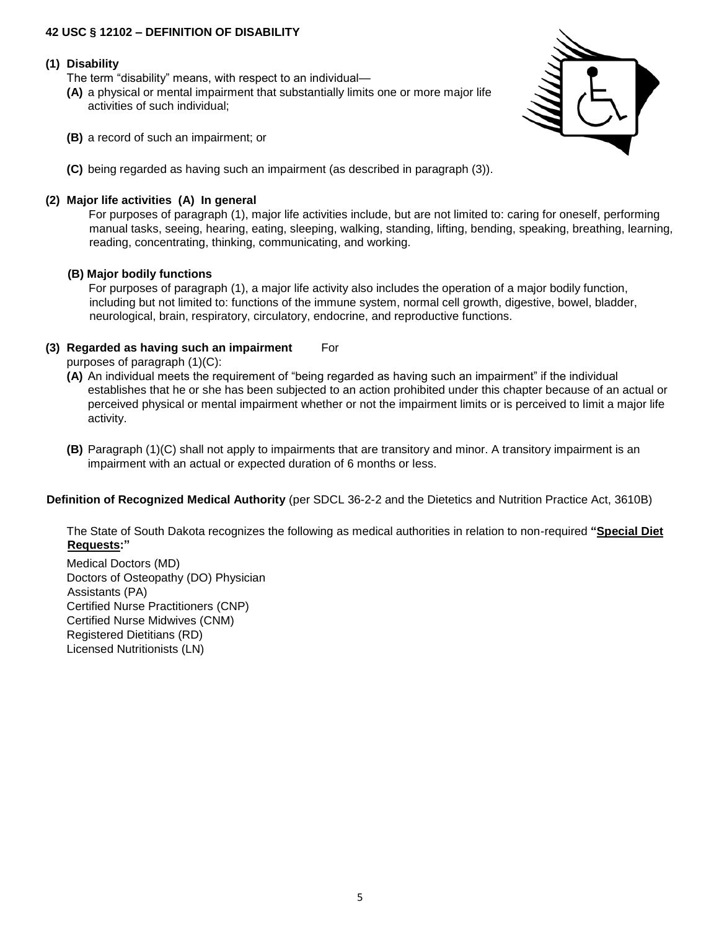#### **42 USC § 12102 – DEFINITION OF DISABILITY**

#### **(1) Disability**

The term "disability" means, with respect to an individual—

**(A)** a physical or mental impairment that substantially limits one or more major life activities of such individual;



- **(B)** a record of such an impairment; or
- **(C)** being regarded as having such an impairment (as described in paragraph (3)).

## **(2) Major life activities (A) In general**

For purposes of paragraph (1), major life activities include, but are not limited to: caring for oneself, performing manual tasks, seeing, hearing, eating, sleeping, walking, standing, lifting, bending, speaking, breathing, learning, reading, concentrating, thinking, communicating, and working.

## **(B) Major bodily functions**

For purposes of paragraph (1), a major life activity also includes the operation of a major bodily function, including but not limited to: functions of the immune system, normal cell growth, digestive, bowel, bladder, neurological, brain, respiratory, circulatory, endocrine, and reproductive functions.

## **(3) Regarded as having such an impairment** For

purposes of paragraph (1)(C):

- **(A)** An individual meets the requirement of "being regarded as having such an impairment" if the individual establishes that he or she has been subjected to an action prohibited under this chapter because of an actual or perceived physical or mental impairment whether or not the impairment limits or is perceived to limit a major life activity.
- **(B)** Paragraph (1)(C) shall not apply to impairments that are transitory and minor. A transitory impairment is an impairment with an actual or expected duration of 6 months or less.

**Definition of Recognized Medical Authority** (per SDCL 36-2-2 and the Dietetics and Nutrition Practice Act, 3610B)

The State of South Dakota recognizes the following as medical authorities in relation to non-required **"Special Diet Requests:"**

Medical Doctors (MD) Doctors of Osteopathy (DO) Physician Assistants (PA) Certified Nurse Practitioners (CNP) Certified Nurse Midwives (CNM) Registered Dietitians (RD) Licensed Nutritionists (LN)